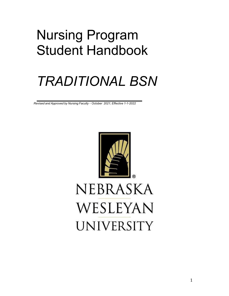# Nursing Program Student Handbook

# *TRADITIONAL BSN*

*Revised and Approved by Nursing Faculty – October 2021; Effective 1-1-2022*



# WESLEYAN **UNIVERSITY**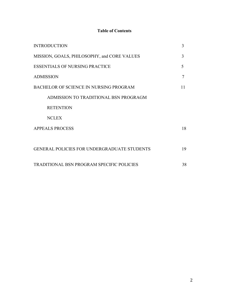# **Table of Contents**

| <b>INTRODUCTION</b>                                | 3  |
|----------------------------------------------------|----|
| MISSION, GOALS, PHILOSOPHY, and CORE VALUES        | 3  |
| <b>ESSENTIALS OF NURSING PRACTICE</b>              | 5  |
| <b>ADMISSION</b>                                   |    |
| BACHELOR OF SCIENCE IN NURSING PROGRAM             | 11 |
| ADMISSION TO TRADITIONAL BSN PROGRAGM              |    |
| <b>RETENTION</b>                                   |    |
| <b>NCLEX</b>                                       |    |
| <b>APPEALS PROCESS</b>                             | 18 |
|                                                    |    |
| <b>GENERAL POLICIES FOR UNDERGRADUATE STUDENTS</b> | 19 |
| <b>TRADITIONAL BSN PROGRAM SPECIFIC POLICIES</b>   | 38 |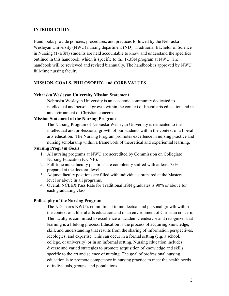# <span id="page-2-0"></span>**INTRODUCTION**

Handbooks provide policies, procedures, and practices followed by the Nebraska Wesleyan University (NWU) nursing department (ND). Traditional Bachelor of Science in Nursing (T-BSN) students are held accountable to know and understand the specifics outlined in this handbook, which is specific to the T-BSN program at NWU. The handbook will be reviewed and revised biannually. The handbook is approved by NWU full-time nursing faculty.

# <span id="page-2-1"></span>**MISSION, GOALS, PHILOSOPHY, and CORE VALUES**

#### **Nebraska Wesleyan University Mission Statement**

Nebraska Wesleyan University is an academic community dedicated to intellectual and personal growth within the context of liberal arts education and in an environment of Christian concern.

#### **Mission Statement of the Nursing Program**

The Nursing Program of Nebraska Wesleyan University is dedicated to the intellectual and professional growth of our students within the context of a liberal arts education. The Nursing Program promotes excellence in nursing practice and nursing scholarship within a framework of theoretical and experiential learning.

#### **Nursing Program Goals**

- 1. All nursing programs at NWU are accredited by Commission on Collegiate Nursing Education (CCNE).
- 2. Full-time nurse faculty positions are completely staffed with at least 75% prepared at the doctoral level.
- 3. Adjunct faculty positions are filled with individuals prepared at the Masters level or above in all programs.
- 4. Overall NCLEX Pass Rate for Traditional BSN graduates is 90% or above for each graduating class.

# **Philosophy of the Nursing Program**

The ND shares NWU's commitment to intellectual and personal growth within the context of a liberal arts education and in an environment of Christian concern. The faculty is committed to excellence of academic endeavor and recognizes that learning is a lifelong process. Education is the process of acquiring knowledge, skill, and understanding that results from the sharing of information perspectives, ideologies, and expertise. This can occur in a formal setting (e.g. a school, college, or university) or in an informal setting. Nursing education includes diverse and varied strategies to promote acquisition of knowledge and skills specific to the art and science of nursing. The goal of professional nursing education is to promote competence in nursing practice to meet the health needs of individuals, groups, and populations.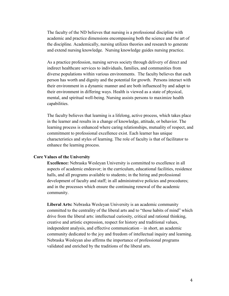The faculty of the ND believes that nursing is a professional discipline with academic and practice dimensions encompassing both the science and the art of the discipline. Academically, nursing utilizes theories and research to generate and extend nursing knowledge. Nursing knowledge guides nursing practice.

As a practice profession, nursing serves society through delivery of direct and indirect healthcare services to individuals, families, and communities from diverse populations within various environments. The faculty believes that each person has worth and dignity and the potential for growth. Persons interact with their environment in a dynamic manner and are both influenced by and adapt to their environment in differing ways. Health is viewed as a state of physical, mental, and spiritual well-being. Nursing assists persons to maximize health capabilities.

The faculty believes that learning is a lifelong, active process, which takes place in the learner and results in a change of knowledge, attitude, or behavior. The learning process is enhanced where caring relationships, mutuality of respect, and commitment to professional excellence exist. Each learner has unique characteristics and styles of learning. The role of faculty is that of facilitator to enhance the learning process.

#### **Core Values of the University**

**Excellence:** Nebraska Wesleyan University is committed to excellence in all aspects of academic endeavor; in the curriculum, educational facilities, residence halls, and all programs available to students; in the hiring and professional development of faculty and staff; in all administrative policies and procedures; and in the processes which ensure the continuing renewal of the academic community.

**Liberal Arts:** Nebraska Wesleyan University is an academic community committed to the centrality of the liberal arts and to "those habits of mind" which drive from the liberal arts: intellectual curiosity, critical and rational thinking, creative and artistic expression, respect for history and traditional values, independent analysis, and effective communication – in short, an academic community dedicated to the joy and freedom of intellectual inquiry and learning. Nebraska Wesleyan also affirms the importance of professional programs validated and enriched by the traditions of the liberal arts.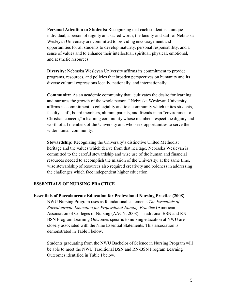**Personal Attention to Students:** Recognizing that each student is a unique individual, a person of dignity and sacred worth, the faculty and staff of Nebraska Wesleyan University are committed to providing encouragement and opportunities for all students to develop maturity, personal responsibility, and a sense of values and to enhance their intellectual, spiritual, physical, emotional, and aesthetic resources.

**Diversity:** Nebraska Wesleyan University affirms its commitment to provide programs, resources, and policies that broaden perspectives on humanity and its diverse cultural expressions locally, nationally, and internationally.

**Community:** As an academic community that "cultivates the desire for learning and nurtures the growth of the whole person," Nebraska Wesleyan University affirms its commitment to collegiality and to a community which unites students, faculty, staff, board members, alumni, parents, and friends in an "environment of Christian concern;" a learning community whose members respect the dignity and worth of all members of the University and who seek opportunities to serve the wider human community.

**Stewardship:** Recognizing the University's distinctive United Methodist heritage and the values which derive from that heritage, Nebraska Wesleyan is committed to the careful stewardship and wise use of the human and financial resources needed to accomplish the mission of the University; at the same time, wise stewardship of resources also required creativity and boldness in addressing the challenges which face independent higher education.

#### <span id="page-4-0"></span>**ESSENTIALS OF NURSING PRACTICE**

#### **Essentials of Baccalaureate Education for Professional Nursing Practice (2008)**

NWU Nursing Program uses as foundational statements *The Essentials of Baccalaureate Education for Professional Nursing Practice* (American Association of Colleges of Nursing (AACN, 2008). Traditional BSN and RN-BSN Program Learning Outcomes specific to nursing education at NWU are closely associated with the Nine Essential Statements. This association is demonstrated in Table I below.

Students graduating from the NWU Bachelor of Science in Nursing Program will be able to meet the NWU Traditional BSN and RN-BSN Program Learning Outcomes identified in Table I below.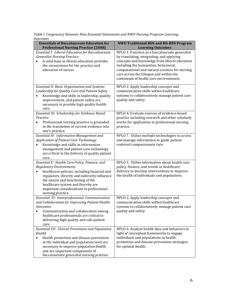| Table I. Congruency Between Nine Essential Statements and NWU Nursing Program Learning |  |
|----------------------------------------------------------------------------------------|--|
| Outcomes                                                                               |  |

| <b>Essentials of Baccalaureate Education for</b>                                                                                                                                                                                                                                                                                         | <b>NWU Traditional BSN and RN-BSN Program</b>                                                                                                                                                                                                                                                                                                            |
|------------------------------------------------------------------------------------------------------------------------------------------------------------------------------------------------------------------------------------------------------------------------------------------------------------------------------------------|----------------------------------------------------------------------------------------------------------------------------------------------------------------------------------------------------------------------------------------------------------------------------------------------------------------------------------------------------------|
| <b>Professional Nursing Practice (2008)</b><br><b>Essential I: Liberal Education for Baccalaureate</b><br><b>Generalist Nursing Practice</b><br>A solid base in liberal education provides<br>the cornerstone for the practice and<br>education of nurses.                                                                               | <b>Learning Outcomes</b><br>NPLO 1. Function as a baccalaureate generalist<br>by translating, integrating, and applying<br>concepts and knowledge from liberal education<br>including the humanities, behavioral,<br>computational and natural sciences for nursing<br>care across the lifespan and within the<br>continuum of health care environments. |
| <b>Essential II: Basic Organization and Systems</b><br>Leadership for Quality Care and Patient Safety<br>Knowledge and skills in leadership, quality<br>improvement, and patient safety are<br>necessary to provide high quality health<br>care.                                                                                         | NPLO 2. Apply leadership concepts and<br>communication skills within healthcare<br>systems to collaboratively manage patient care<br>quality and safety.                                                                                                                                                                                                 |
| Essential III: Scholarship for Evidence Based<br>Practice<br>Professional nursing practice is grounded<br>$\bullet$<br>in the translation of current evidence into<br>one's practice.                                                                                                                                                    | NPLO 4. Evaluate sources of evidence-based<br>practice including research and other scholarly<br>works for application in professional nursing<br>practice.                                                                                                                                                                                              |
| <b>Essential IV: Information Management and</b><br><b>Application of Patient Care Technology</b><br>Knowledge and skills in information<br>management and patient care technology<br>are critical in the delivery of quality patient<br>care.                                                                                            | NPLO 7. Utilize multiple technologies to access<br>and manage information to guide patient<br>centered compassionate care.                                                                                                                                                                                                                               |
| Essential V: Health Care Policy, Finance, and<br><b>Regulatory Environments</b><br>Healthcare policies, including financial and<br>$\bullet$<br>regulatory, directly and indirectly influence<br>the nature and functioning of the<br>healthcare system and thereby are<br>important considerations in professional<br>nursing practice. | NPLO 3. Utilize information about health care<br>policy, finance, and trends in healthcare<br>delivery to develop interventions to improve<br>the health of individuals and populations.                                                                                                                                                                 |
| Essential VI: Interprofessional Communication<br>and Collaboration for Improving Patient Health<br>Outcomes<br>Communication and collaboration among<br>$\bullet$<br>healthcare professionals are critical to<br>delivering high quality and safe patient<br>care.                                                                       | NPLO 2. Apply leadership concepts and<br>communication skills within healthcare<br>systems to collaboratively manage patient care<br>quality and safety.                                                                                                                                                                                                 |
| <b>Essential VII: Clinical Prevention and Population</b><br>Health<br>Health promotion and disease prevention<br>$\bullet$<br>at the individual and population level are<br>necessary to improve population health<br>and are important components of<br>baccalaureate generalist nursing practice.                                      | NPLO 6. Analyze health data and behaviors in<br>light of conceptual frameworks to engage<br>individuals and populations in health<br>promotion and disease prevention strategies<br>for optimal health.                                                                                                                                                  |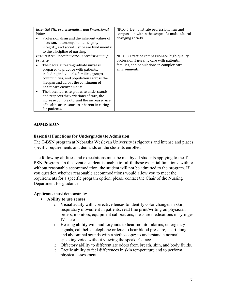|                                                | Essential VIII: Professionalism and Professional<br><i>Values</i><br>Professionalism and the inherent values of<br>altruism, autonomy, human dignity,<br>integrity, and social justice are fundamental<br>to the discipline of nursing. | NPLO 5. Demonstrate professionalism and<br>compassion within the scope of a multicultural<br>changing society. |  |
|------------------------------------------------|-----------------------------------------------------------------------------------------------------------------------------------------------------------------------------------------------------------------------------------------|----------------------------------------------------------------------------------------------------------------|--|
| Essential IX: Baccalaureate Generalist Nursing |                                                                                                                                                                                                                                         | NPLO 8. Practice compassionate, high-quality                                                                   |  |
|                                                | Practice                                                                                                                                                                                                                                | professional nursing care with patients,                                                                       |  |
|                                                | The baccalaureate-graduate nurse is                                                                                                                                                                                                     | families, and populations in complex care                                                                      |  |
|                                                | prepared to practice with patients,                                                                                                                                                                                                     | environments.                                                                                                  |  |
|                                                | including individuals, families, groups,                                                                                                                                                                                                |                                                                                                                |  |
|                                                | communities, and populations across the                                                                                                                                                                                                 |                                                                                                                |  |
|                                                | lifespan and across the continuum of                                                                                                                                                                                                    |                                                                                                                |  |
|                                                | healthcare environments.                                                                                                                                                                                                                |                                                                                                                |  |
|                                                | The baccalaureate graduate understands                                                                                                                                                                                                  |                                                                                                                |  |
|                                                | and respects the variations of care, the                                                                                                                                                                                                |                                                                                                                |  |
|                                                | increase complexity, and the increased use                                                                                                                                                                                              |                                                                                                                |  |
|                                                | of healthcare resources inherent in caring                                                                                                                                                                                              |                                                                                                                |  |
|                                                | for patients.                                                                                                                                                                                                                           |                                                                                                                |  |

# <span id="page-6-0"></span>**ADMISSION**

# **Essential Functions for Undergraduate Admission**

The T-BSN program at Nebraska Wesleyan University is rigorous and intense and places specific requirements and demands on the students enrolled.

The following abilities and expectations must be met by all students applying to the T-BSN Program. In the event a student is unable to fulfill these essential functions, with or without reasonable accommodation, the student will not be admitted to the program. If you question whether reasonable accommodations would allow you to meet the requirements for a specific program option, please contact the Chair of the Nursing Department for guidance.

Applicants must demonstrate:

- **Ability to use senses**:
	- o Visual acuity with corrective lenses to identify color changes in skin, respiratory movement in patients; read fine print/writing on physician orders, monitors, equipment calibrations, measure medications in syringes, IV's etc.
	- o Hearing ability with auditory aids to hear monitor alarms, emergency signals, call bells, telephone orders; to hear blood pressure, heart, lung, and abdominal sounds with a stethoscope; to understand a normal speaking voice without viewing the speaker's face.
	- o Olfactory ability to differentiate odors from breath, skin, and body fluids.
	- o Tactile ability to feel differences in skin temperature and to perform physical assessment.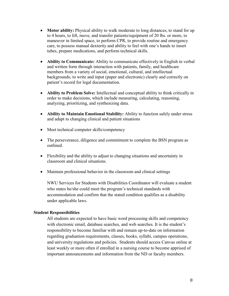- **Motor ability:** Physical ability to walk moderate to long distances, to stand for up to 4 hours, to lift, move, and transfer patients/equipment of 20 lbs. or more, to maneuver in limited space, to perform CPR, to provide routine and emergency care, to possess manual dexterity and ability to feel with one's hands to insert tubes, prepare medications, and perform technical skills.
- **Ability to Communicate:** Ability to communicate effectively in English in verbal and written form through interaction with patients, family, and healthcare members from a variety of social, emotional, cultural, and intellectual backgrounds; to write and input (paper and electronic) clearly and correctly on patient's record for legal documentation.
- **Ability to Problem Solve:** Intellectual and conceptual ability to think critically in order to make decisions, which include measuring, calculating, reasoning, analyzing, prioritizing, and synthesizing data.
- **Ability to Maintain Emotional Stability:** Ability to function safely under stress and adapt to changing clinical and patient situations
- Meet technical computer skills/competency
- The perseverance, diligence and commitment to complete the BSN program as outlined.
- Flexibility and the ability to adjust to changing situations and uncertainty in classroom and clinical situations.
- Maintain professional behavior in the classroom and clinical settings

NWU Services for Students with Disabilities Coordinator will evaluate a student who states he/she could meet the program's technical standards with accommodation and confirm that the stated condition qualifies as a disability under applicable laws.

#### **Student Responsibilities**

All students are expected to have basic word processing skills and competency with electronic email, database searches, and web searches. It is the student's responsibility to become familiar with and remain up-to-date on information regarding graduation requirements, classes, books, syllabi, campus operations, and university regulations and policies. Students should access Canvas online at least weekly or more often if enrolled in a nursing course to become apprised of important announcements and information from the ND or faculty members.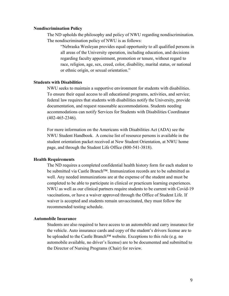#### **Nondiscrimination Policy**

The ND upholds the philosophy and policy of NWU regarding nondiscrimination. The nondiscrimination policy of NWU is as follows:

"Nebraska Wesleyan provides equal opportunity to all qualified persons in all areas of the University operation, including education, and decisions regarding faculty appointment, promotion or tenure, without regard to race, religion, age, sex, creed, color, disability, marital status, or national or ethnic origin, or sexual orientation."

# **Students with Disabilities**

NWU seeks to maintain a supportive environment for students with disabilities. To ensure their equal access to all educational programs, activities, and service; federal law requires that students with disabilities notify the University, provide documentation, and request reasonable accommodations. Students needing accommodations can notify Services for Students with Disabilities Coordinator (402-465-2346).

For more information on the Americans with Disabilities Act (ADA) see the NWU Student Handbook. A concise list of resource persons is available in the student orientation packet received at New Student Orientation, at NWU home page, and through the Student Life Office (800-541-3818).

#### **Health Requirements**

The ND requires a completed confidential health history form for each student to be submitted via Castle Branch<sup>™</sup>. Immunization records are to be submitted as well. Any needed immunizations are at the expense of the student and must be completed to be able to participate in clinical or practicum learning experiences. NWU as well as our clinical partners require students to be current with Covid-19 vaccinations, or have a waiver approved through the Office of Student Life. If waiver is accepted and students remain unvaccinated, they must follow the recommended testing schedule.

#### **Automobile Insurance**

Students are also required to have access to an automobile and carry insurance for the vehicle. Auto insurance cards and copy of the student's drivers license are to be uploaded to the Castle Branch<sup>™</sup> website. Exceptions to this rule (e.g. no automobile available, no driver's license) are to be documented and submitted to the Director of Nursing Programs (Chair) for review.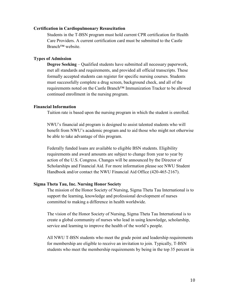#### **Certification in Cardiopulmonary Resuscitation**

Students in the T-BSN program must hold current CPR certification for Health Care Providers. A current certification card must be submitted to the Castle Branch™ website.

## **Types of Admission**

**Degree Seeking** – Qualified students have submitted all necessary paperwork, met all standards and requirements, and provided all official transcripts. These formally accepted students can register for specific nursing courses. Students must successfully complete a drug screen, background check, and all of the requirements noted on the Castle Branch™ Immunization Tracker to be allowed continued enrollment in the nursing program.

#### **Financial Information**

Tuition rate is based upon the nursing program in which the student is enrolled.

NWU's financial aid program is designed to assist talented students who will benefit from NWU's academic program and to aid those who might not otherwise be able to take advantage of this program.

Federally funded loans are available to eligible BSN students. Eligibility requirements and award amounts are subject to change from year to year by action of the U.S. Congress. Changes will be announced by the Director of Scholarships and Financial Aid. For more information please see NWU Student Handbook and/or contact the NWU Financial Aid Office (420-465-2167).

#### **Sigma Theta Tau, Inc. Nursing Honor Society**

The mission of the Honor Society of Nursing, Sigma Theta Tau International is to support the learning, knowledge and professional development of nurses committed to making a difference in health worldwide.

The vision of the Honor Society of Nursing, Sigma Theta Tau International is to create a global community of nurses who lead in using knowledge, scholarship, service and learning to improve the health of the world's people.

All NWU T-BSN students who meet the grade point and leadership requirements for membership are eligible to receive an invitation to join. Typically, T-BSN students who meet the membership requirements by being in the top 35 percent in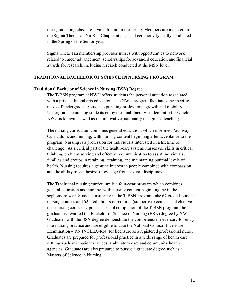their graduating class are invited to join in the spring. Members are inducted in the Sigma Theta Tau Nu Rho Chapter at a special ceremony typically conducted in the Spring of the Senior year.

Sigma Theta Tau membership provides nurses with opportunities to network related to career advancement, scholarships for advanced education and financial awards for research, including research conducted at the MSN level.

## **TRADITIONAL BACHELOR OF SCIENCE IN NURSING PROGRAM**

#### **Traditional Bachelor of Science in Nursing (BSN) Degree**

The T-BSN program at NWU offers students the personal attention associated with a private, liberal arts education. The NWU program facilitates the specific needs of undergraduate students pursuing professional growth and mobility. Undergraduate nursing students enjoy the small faculty-student ratio for which NWU is known, as well as it's innovative, nationally recognized teaching.

The nursing curriculum combines general education, which is termed Archway Curriculum, and nursing, with nursing content beginning after acceptance to the program. Nursing is a profession for individuals interested in a lifetime of challenge. As a critical part of the health-care system, nurses use skills in critical thinking, problem solving and effective communication to assist individuals, families and groups in retaining, attaining, and maintaining optimal levels of health. Nursing requires a genuine interest in people combined with compassion and the ability to synthesize knowledge from several disciplines.

The Traditional nursing curriculum is a four-year program which combines general education and nursing, with nursing content beginning the in the sophomore year. Students majoring in the T-BSN program take 67 credit hours of nursing courses and 62 credit hours of required (supportive) courses and elective non-nursing courses. Upon successful completion of the T-BSN program, the graduate is awarded the Bachelor of Science in Nursing (BSN) degree by NWU. Graduates with the BSN degree demonstrate the competencies necessary for entry into nursing practice and are eligible to take the National Council Licensure Examination – RN (NCLEX-RN) for licensure as a registered professional nurse. Graduates are prepared for professional practice in a wide range of health care settings such as inpatient services, ambulatory care and community health agencies. Graduates are also prepared to pursue a graduate degree such as a Masters of Science in Nursing.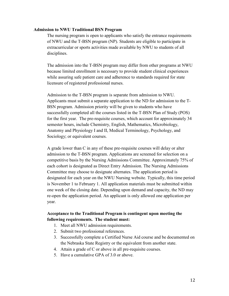#### **Admission to NWU Traditional BSN Program**

The nursing program is open to applicants who satisfy the entrance requirements of NWU and the T-BSN program (NP). Students are eligible to participate in extracurricular or sports activities made available by NWU to students of all disciplines.

The admission into the T-BSN program may differ from other programs at NWU because limited enrollment is necessary to provide student clinical experiences while assuring safe patient care and adherence to standards required for state licensure of registered professional nurses.

Admission to the T-BSN program is separate from admission to NWU. Applicants must submit a separate application to the ND for admission to the T-BSN program. Admission priority will be given to students who have successfully completed all the courses listed in the T-BSN Plan of Study (POS) for the first year. The pre-requisite courses, which account for approximately 34 semester hours, include Chemistry, English, Mathematics, Microbiology, Anatomy and Physiology I and II, Medical Terminology, Psychology, and Sociology; or equivalent courses.

A grade lower than C in any of these pre-requisite courses will delay or alter admission to the T-BSN program. Applications are screened for selection on a competitive basis by the Nursing Admissions Committee. Approximately 75% of each cohort is designated as Direct Entry Admission. The Nursing Admissions Committee may choose to designate alternates. The application period is designated for each year on the NWU Nursing website. Typically, this time period is November 1 to February 1. All application materials must be submitted within one week of the closing date. Depending upon demand and capacity, the ND may re-open the application period. An applicant is only allowed one application per year.

# **Acceptance to the Traditional Program is contingent upon meeting the following requirements. The student must:**

- 1. Meet all NWU admission requirements.
- 2. Submit two professional references.
- 3. Successfully complete a Certified Nurse Aid course and be documented on the Nebraska State Registry or the equivalent from another state.
- 4. Attain a grade of C or above in all pre-requisite courses.
- 5. Have a cumulative GPA of 3.0 or above.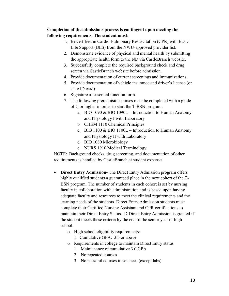# **Completion of the admissions process is contingent upon meeting the following requirements. The student must:**

- 1. Be certified in Cardio-Pulmonary Resuscitation (CPR) with Basic Life Support (BLS) from the NWU-approved provider list.
- 2. Demonstrate evidence of physical and mental health by submitting the appropriate health form to the ND via CastleBranch website.
- 3. Successfully complete the required background check and drug screen via CastleBranch website before admission.
- 4. Provide documentation of current screenings and immunizations.
- 5. Provide documentation of vehicle insurance and driver's license (or state ID card).
- 6. Signature of essential function form.
- 7. The following prerequisite courses must be completed with a grade of C or higher in order to start the T-BSN program:
	- a. BIO 1090 & BIO 1090L Introduction to Human Anatomy and Physiology I with Laboratory
	- b. CHEM 1110 Chemical Principles
	- c. BIO 1100 & BIO 1100L Introduction to Human Anatomy and Physiology II with Laboratory
	- d. BIO 1080 Microbiology
	- e. NURS 1910 Medical Terminology

NOTE: Background checks, drug screening, and documentation of other requirements is handled by CastleBranch at student expense.

- **Direct Entry Admission-** The Direct Entry Admission program offers highly qualified students a guaranteed place in the next cohort of the T-BSN program. The number of students in each cohort is set by nursing faculty in collaboration with administration and is based upon having adequate faculty and resources to meet the clinical requirements and the learning needs of the students. Direct Entry Admission students must complete their Certified Nursing Assistant and CPR certifications to maintain their Direct Entry Status. DiDirect Entry Admission is granted if the student meets these criteria by the end of the senior year of high school.
	- o High school eligibility requirements:
		- 1. Cumulative GPA: 3.5 or above
	- o Requirements in college to maintain Direct Entry status
		- 1. Maintenance of cumulative 3.0 GPA
		- 2. No repeated courses
		- 3. No pass/fail courses in sciences (except labs)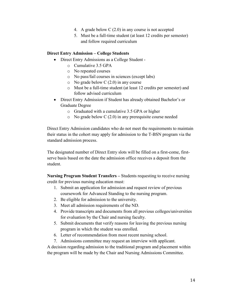- 4. A grade below C (2.0) in any course is not accepted
- 5. Must be a full-time student (at least 12 credits per semester) and follow required curriculum

# **Direct Entry Admission – College Students**

- Direct Entry Admissions as a College Student
	- o Cumulative 3.5 GPA
	- o No repeated courses
	- o No pass/fail courses in sciences (except labs)
	- $\circ$  No grade below C (2.0) in any course
	- o Must be a full-time student (at least 12 credits per semester) and follow advised curriculum
- Direct Entry Admission if Student has already obtained Bachelor's or Graduate Degree
	- o Graduated with a cumulative 3.5 GPA or higher
	- o No grade below C (2.0) in any prerequisite course needed

Direct Entry Admission candidates who do not meet the requirements to maintain their status in the cohort may apply for admission to the T-BSN program via the standard admission process.

The designated number of Direct Entry slots will be filled on a first-come, firstserve basis based on the date the admission office receives a deposit from the student.

**Nursing Program Student Transfers –** Students requesting to receive nursing credit for previous nursing education must:

- 1. Submit an application for admission and request review of previous coursework for Advanced Standing to the nursing program.
- 2. Be eligible for admission to the university.
- 3. Meet all admission requirements of the ND.
- 4. Provide transcripts and documents from all previous colleges/universities for evaluation by the Chair and nursing faculty.
- 5. Submit documents that verify reasons for leaving the previous nursing program in which the student was enrolled.
- 6. Letter of recommendation from most recent nursing school.
- 7. Admissions committee may request an interview with applicant.

A decision regarding admission to the traditional program and placement within the program will be made by the Chair and Nursing Admissions Committee.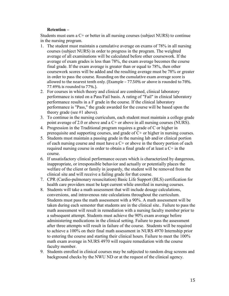# **Retention –**

Students must earn a C+ or better in all nursing courses (subject NURS) to continue in the nursing program.

- 1. The student must maintain a cumulative average on exams of 78% in all nursing courses (subject NURS) in order to progress in the program. The weighted average of all examinations will be calculated before other coursework. If the average of exam grades is less than 78%, the exam average becomes the course final grade. If the exam average is greater than or equal to 78%, then other coursework scores will be added and the resulting average must be 78% or greater in order to pass the course. Rounding on the cumulative exam average score is allowed to the nearest tenth only. (Example – 77.50% or above is rounded to 78%. 77.49% is rounded to 77%.).
- 2. For courses in which theory and clinical are combined, clinical laboratory performance is rated on a Pass/Fail basis. A rating of "Fail" in clinical laboratory performance results in a F grade in the course. If the clinical laboratory performance is "Pass," the grade awarded for the course will be based upon the theory grade (see #1 above).
- 3. To continue in the nursing curriculum, each student must maintain a college grade point average of 2.0 or above and a C+ or above in all nursing courses (NURS).
- 4. Progression in the Traditional program requires a grade of C or higher in prerequisite and supporting courses, and grade of C+ or higher in nursing courses.
- 5. Students must maintain a passing grade in the nursing lab and/or clinical portion of each nursing course and must have a  $C<sup>+</sup>$  or above in the theory portion of each required nursing course in order to obtain a final grade of at least a C+ in the course.
- 6. If unsatisfactory clinical performance occurs which is characterized by dangerous, inappropriate, or irresponsible behavior and actually or potentially places the welfare of the client or family in jeopardy, the student will be removed from the clinical site and will receive a failing grade for that course.
- 7. CPR (Cardio-pulmonary resuscitation) Basic Life Support (BLS) certification for health care providers must be kept current while enrolled in nursing courses.
- 8. Students will take a math assessment that will include dosage calculations, conversions, and intravenous rate calculations throughout the curriculum. Students must pass the math assessment with a 90%. A math assessment will be taken during each semester that students are in the clinical site.. Failure to pass the math assessment will result in remediation with a nursing faculty member prior to a subsequent attempt. Students must achieve the 90% exam average before administering medications in the clinical setting. Failure to pass the assessment after three attempts will result in failure of the course. Students will be required to achieve a 100% on their final math assessment in NURS 4970 Internship prior to entering the course and starting their clinical hours. Failure to meet the 100% math exam average in NURS 4970 will require remediation with the course faculty member.
- 9. Students enrolled in clinical courses may be subjected to random drug screens and background checks by the NWU ND or at the request of the clinical agency.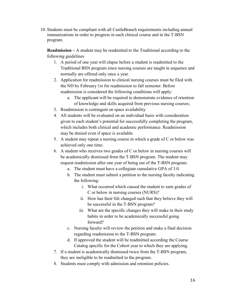10. Students must be compliant with all CastleBranch requirements including annual immunizations in order to progress in each clinical course and in the T-BSN program.

**Readmission –** A student may be readmitted to the Traditional according to the following guidelines

- 1. A period of one year will elapse before a student is readmitted to the Traditional BSN program since nursing courses are taught in sequence and normally are offered only once a year.
- 2. Application for readmission to clinical nursing courses must be filed with the ND by February 1st for readmission to fall semester. Before readmission is considered the following conditions will apply:
	- a. The applicant will be required to demonstrate evidence of retention of knowledge and skills acquired from previous nursing courses;
- 3. Readmission is contingent on space availability
- 4. All students will be evaluated on an individual basis with consideration given to each student's potential for successfully completing the program, which includes both clinical and academic performance. Readmission may be denied even if space is available.
- 5. A student may repeat a nursing course in which a grade of C or below was achieved only one time.
- 6. A student who receives two grades of C or below in nursing courses will be academically dismissed from the T-BSN program. The student may request readmission after one year of being out of the T-BSN program.
	- a. The student must have a collegiate cumulative GPA of 3.0.
	- b. The student must submit a petition to the nursing faculty indicating the following:
		- i. What occurred which caused the student to earn grades of C or below in nursing courses (NURS)?
		- ii. How has their life changed such that they believe they will be successful in the T-BSN program?
		- iii. What are the specific changes they will make in their study habits in order to be academically successful going forward?
	- c. Nursing faculty will review the petition and make a final decision regarding readmission to the T-BSN program.
	- d. If approved the student will be readmitted according the Course Catalog specific for the Cohort year to which they are applying.
- 7. If a student is academically dismissed twice from the T-BSN program, they are ineligible to be readmitted to the program.
- 8. Students must comply with admission and retention policies.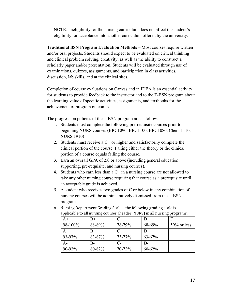NOTE: Ineligibility for the nursing curriculum does not affect the student's eligibility for acceptance into another curriculum offered by the university.

**Traditional BSN Program Evaluation Methods –** Most courses require written and/or oral projects. Students should expect to be evaluated on critical thinking and clinical problem solving, creativity, as well as the ability to construct a scholarly paper and/or presentation. Students will be evaluated through use of examinations, quizzes, assignments, and participation in class activities, discussion, lab skills, and at the clinical sites.

Completion of course evaluations on Canvas and in IDEA is an essential activity for students to provide feedback to the instructor and to the T-BSN program about the learning value of specific activities, assignments, and textbooks for the achievement of program outcomes.

The progression policies of the T-BSN program are as follow:

- 1. Students must complete the following pre-requisite courses prior to beginning NURS courses (BIO 1090, BIO 1100, BIO 1080, Chem 1110, NURS 1910)
- 2. Students must receive a  $C<sup>+</sup>$  or higher and satisfactorily complete the clinical portion of the course. Failing either the theory or the clinical portion of a course equals failing the course.
- 3. Earn an overall GPA of 2.0 or above (including general education, supporting, pre-requisite, and nursing courses).
- 4. Students who earn less than a  $C+$  in a nursing course are not allowed to take any other nursing course requiring that course as a prerequisite until an acceptable grade is achieved.
- 5. A student who receives two grades of C or below in any combination of nursing courses will be administratively dismissed from the T-BSN program.

| $A+$    | $B+$   | $C+$   |            | -00-00-00-00   |
|---------|--------|--------|------------|----------------|
| 98-100% | 88-89% | 78-79% | 68-69%     | $59\%$ or less |
| A       |        |        |            |                |
| 93-97%  | 83-87% | 73-77% | $63 - 67%$ |                |
| $A-$    | B-     | C-     |            |                |
| 90-92%  | 80-82% | 70-72% | $60 - 62%$ |                |

6. Nursing Department Grading Scale – the following grading scale is applicable to all nursing courses (header: NURS) in all nursing programs.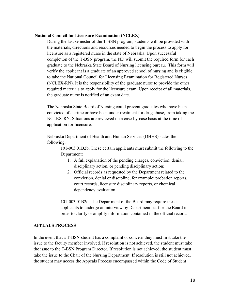#### **National Council for Licensure Examination (NCLEX)**

During the last semester of the T-BSN program, students will be provided with the materials, directions and resources needed to begin the process to apply for licensure as a registered nurse in the state of Nebraska. Upon successful completion of the T-BSN program, the ND will submit the required form for each graduate to the Nebraska State Board of Nursing licensing bureau. This form will verify the applicant is a graduate of an approved school of nursing and is eligible to take the National Council for Licensing Examination for Registered Nurses (NCLEX-RN). It is the responsibility of the graduate nurse to provide the other required materials to apply for the licensure exam. Upon receipt of all materials, the graduate nurse is notified of an exam date.

The Nebraska State Board of Nursing could prevent graduates who have been convicted of a crime or have been under treatment for drug abuse, from taking the NCLEX-RN. Situations are reviewed on a case-by-case basis at the time of application for licensure.

Nebraska Department of Health and Human Services (DHHS) states the following:

> 101-003.01B2b, These certain applicants must submit the following to the Department:

- 1. A full explanation of the pending charges, conviction, denial, disciplinary action, or pending disciplinary action;
- 2. Official records as requested by the Department related to the conviction, denial or discipline, for example: probation reports, court records, licensure disciplinary reports, or chemical dependency evaluation.

101-003.01B2c. The Department of the Board may require these applicants to undergo an interview by Department staff or the Board in order to clarify or amplify information contained in the official record.

# <span id="page-17-0"></span>**APPEALS PROCESS**

In the event that a T-BSN student has a complaint or concern they must first take the issue to the faculty member involved. If resolution is not achieved, the student must take the issue to the T-BSN Program Director. If resolution is not achieved, the student must take the issue to the Chair of the Nursing Department. If resolution is still not achieved, the student may access the Appeals Process encompassed within the Code of Student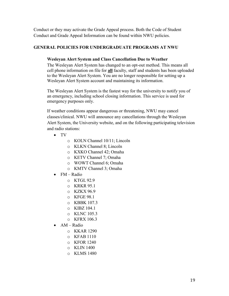Conduct or they may activate the Grade Appeal process. Both the Code of Student Conduct and Grade Appeal Information can be found within NWU policies.

# **GENERAL POLICIES FOR UNDERGRADUATE PROGRAMS AT NWU**

# **Wesleyan Alert System and Class Cancellation Due to Weather**

The Wesleyan Alert System has changed to an opt-out method. This means all cell phone information on file for **all** faculty, staff and students has been uploaded to the Wesleyan Alert System. You are no longer responsible for setting up a Wesleyan Alert System account and maintaining its information.

The Wesleyan Alert System is the fastest way for the university to notify you of an emergency, including school closing information. This service is used for emergency purposes only.

If weather conditions appear dangerous or threatening, NWU may cancel classes/clinical. NWU will announce any cancellations through the Wesleyan Alert System, the University website, and on the following participating television and radio stations:

- TV
	- o KOLN Channel 10/11; Lincoln
	- o KLKN Channel 8; Lincoln
	- o KXKO Channel 42; Omaha
	- o KETV Channel 7; Omaha
	- o WOWT Channel 6; Omaha
	- o KMTV Channel 3; Omaha
- FM Radio
	- o KTGL 92.9
	- o KRKR 95.1
	- o KZKX 96.9
	- o KFGE 98.1
	- o KBBK 107.3
	- o KIBZ 104.1
	- o KLNC 105.3
	- o KFRX 106.3
- AM Radio
	- o KKAR 1290
	- o KFAB 1110
	- o KFOR 1240
	- o KLIN 1400
	- o KLMS 1480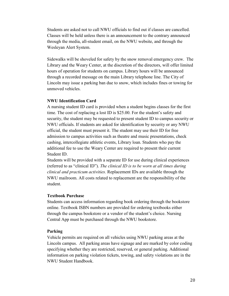Students are asked not to call NWU officials to find out if classes are cancelled. Classes will be held unless there is an announcement to the contrary announced through the media, all-student email, on the NWU website, and through the Wesleyan Alert System.

Sidewalks will be shoveled for safety by the snow removal emergency crew. The Library and the Weary Center, at the discretion of the directors, will offer limited hours of operation for students on campus. Library hours will be announced through a recorded message on the main Library telephone line. The City of Lincoln may issue a parking ban due to snow, which includes fines or towing for unmoved vehicles.

# **NWU Identification Card**

A nursing student ID card is provided when a student begins classes for the first time. The cost of replacing a lost ID is \$25.00. For the student's safety and security, the student may be requested to present student ID to campus security or NWU officials. If students are asked for identification by security or any NWU official, the student must present it. The student may use their ID for free admission to campus activities such as theatre and music presentations, check cashing, intercollegiate athletic events, Library loan. Students who pay the additional fee to use the Weary Center are required to present their current Student ID.

Students will be provided with a separate ID for use during clinical experiences (referred to as "clinical ID"). *The clinical ID is to be worn at all times during clinical and practicum activities.* Replacement IDs are available through the NWU mailroom. All costs related to replacement are the responsibility of the student.

# **Textbook Purchase**

Students can access information regarding book ordering through the bookstore online. Textbook ISBN numbers are provided for ordering textbooks either through the campus bookstore or a vendor of the student's choice. Nursing Central App must be purchased through the NWU bookstore.

# **Parking**

Vehicle permits are required on all vehicles using NWU parking areas at the Lincoln campus. All parking areas have signage and are marked by color coding specifying whether they are restricted, reserved, or general parking. Additional information on parking violation tickets, towing, and safety violations are in the NWU Student Handbook.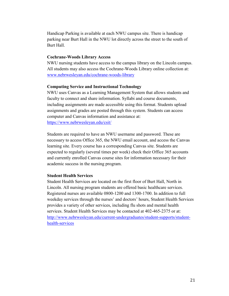Handicap Parking is available at each NWU campus site. There is handicap parking near Burt Hall in the NWU lot directly across the street to the south of Burt Hall.

#### **Cochrane-Woods Library Access**

NWU nursing students have access to the campus library on the Lincoln campus. All students may also access the Cochrane-Woods Library online collection at: [www.nebrwesleyan.edu/cochrane-woods-library](http://www.nebrwesleyan.edu/cochrane-woods-library)

#### **Computing Service and Instructional Technology**

NWU uses Canvas as a Learning Management System that allows students and faculty to connect and share information. Syllabi and course documents, including assignments are made accessible using this format. Students upload assignments and grades are posted through this system. Students can access computer and Canvas information and assistance at: <https://www.nebrwesleyan.edu/csit/>

Students are required to have an NWU username and password. These are necessary to access Office 365, the NWU email account, and access the Canvas learning site. Every course has a corresponding Canvas site. Students are expected to regularly (several times per week) check their Office 365 accounts and currently enrolled Canvas course sites for information necessary for their academic success in the nursing program.

# **Student Health Services**

Student Health Services are located on the first floor of Burt Hall, North in Lincoln. All nursing program students are offered basic healthcare services. Registered nurses are available 0800-1200 and 1300-1700. In addition to full weekday services through the nurses' and doctors' hours, Student Health Services provides a variety of other services, including flu shots and mental health services. Student Health Services may be contacted at 402-465-2375 or at: [http://www.nebrwesleyan.edu/current-undergraduates/student-supports/student](http://www.nebrwesleyan.edu/current-undergraduates/student-supports/student-health-services)[health-services](http://www.nebrwesleyan.edu/current-undergraduates/student-supports/student-health-services)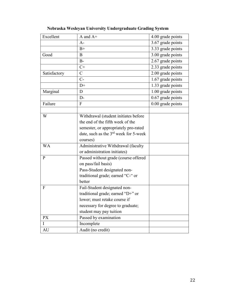| Excellent    | A and $A+$                                        | 4.00 grade points |
|--------------|---------------------------------------------------|-------------------|
|              | $A-$                                              | 3.67 grade points |
|              | $B+$                                              | 3.33 grade points |
| Good         | B                                                 | 3.00 grade points |
|              | $B-$                                              | 2.67 grade points |
|              | $C+$                                              | 2.33 grade points |
| Satisfactory | $\mathsf{C}$                                      | 2.00 grade points |
|              | $C-$                                              | 1.67 grade points |
|              | $D+$                                              | 1.33 grade points |
| Marginal     | D                                                 | 1.00 grade points |
|              | $D-$                                              | 0.67 grade points |
| Failure      | $\Gamma$                                          | 0.00 grade points |
|              |                                                   |                   |
| W            | Withdrawal (student initiates before              |                   |
|              | the end of the fifth week of the                  |                   |
|              | semester, or appropriately pro-rated              |                   |
|              | date, such as the 3 <sup>rd</sup> week for 5-week |                   |
|              | courses)                                          |                   |
| <b>WA</b>    | Administrative Withdrawal (faculty                |                   |
|              | or administration initiates)                      |                   |
| P            | Passed without grade (course offered              |                   |
|              | on pass/fail basis)                               |                   |
|              | Pass-Student designated non-                      |                   |
|              | traditional grade; earned "C-" or                 |                   |
|              | better                                            |                   |
| F            | Fail-Student designated non-                      |                   |
|              | traditional grade; earned "D+" or                 |                   |
|              | lower; must retake course if                      |                   |
|              | necessary for degree to graduate;                 |                   |
|              | student may pay tuition                           |                   |
| <b>PX</b>    | Passed by examination                             |                   |
| Ι            | Incomplete                                        |                   |
| AU           | Audit (no credit)                                 |                   |

**Nebraska Wesleyan University Undergraduate Grading System**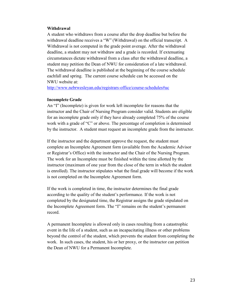#### **Withdrawal**

A student who withdraws from a course after the drop deadline but before the withdrawal deadline receives a "W" (Withdrawal) on the official transcript. A Withdrawal is not computed in the grade point average. After the withdrawal deadline, a student may not withdraw and a grade is recorded. If extenuating circumstances dictate withdrawal from a class after the withdrawal deadline, a student may petition the Dean of NWU for consideration of a late withdrawal. The withdrawal deadline is published at the beginning of the course schedule eachfall and spring. The current course schedule can be accessed on the NWU website at:

<http://www.nebrwesleyan.edu/registrars-office/course-schedules#uc>

#### **Incomplete Grade**

An "I" (Incomplete) is given for work left incomplete for reasons that the instructor and the Chair of Nursing Program consider valid. Students are eligible for an incomplete grade only if they have already completed 75% of the course work with a grade of "C" or above. The percentage of completion is determined by the instructor. A student must request an incomplete grade from the instructor.

If the instructor and the department approve the request, the student must complete an Incomplete Agreement form (available from the Academic Advisor or Registrar's Office) with the instructor and the Chair of the Nursing Program. The work for an Incomplete must be finished within the time allotted by the instructor (maximum of one year from the close of the term in which the student is enrolled). The instructor stipulates what the final grade will become if the work is not completed on the Incomplete Agreement form.

If the work is completed in time, the instructor determines the final grade according to the quality of the student's performance. If the work is not completed by the designated time, the Registrar assigns the grade stipulated on the Incomplete Agreement form. The "I" remains on the student's permanent record.

A permanent Incomplete is allowed only in cases resulting from a catastrophic event in the life of a student, such as an incapacitating illness or other problems beyond the control of the student, which prevents the student from completing the work. In such cases, the student, his or her proxy, or the instructor can petition the Dean of NWU for a Permanent Incomplete.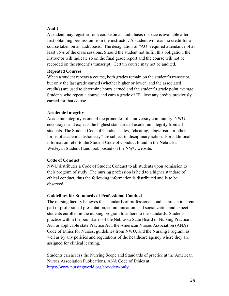#### **Audit**

A student may registrar for a course on an audit basis if space is available after first obtaining permission from the instructor. A student will earn no credit for a course taken on an audit basis. The designation of "AU" required attendance of at least 75% of the class sessions. Should the student not fulfill this obligation, the instructor will indicate so on the final grade report and the course will not be recorded on the student's transcript. Certain course may not be audited.

#### **Repeated Courses**

When a student repeats a course, both grades remain on the student's transcript, but only the last grade earned (whether higher or lower) and the associated credit(s) are used to determine hours earned and the student's grade point average. Students who repeat a course and earn a grade of "F" lose any credits previously earned for that course.

#### **Academic Integrity**

Academic integrity is one of the principles of a university community. NWU encourages and expects the highest standards of academic integrity from all students. The Student Code of Conduct states, "cheating, plagiarism, or other forms of academic dishonesty" are subject to disciplinary action. For additional information refer to the Student Code of Conduct found in the Nebraska Wesleyan Student Handbook posted on the NWU website.

# **Code of Conduct**

NWU distributes a Code of Student Conduct to all students upon admission to their program of study. The nursing profession is held to a higher standard of ethical conduct, thus the following information is distributed and is to be observed.

#### **Guidelines for Standards of Professional Conduct**

The nursing faculty believes that standards of professional conduct are an inherent part of professional presentation, communication, and socialization and expect students enrolled in the nursing program to adhere to the standards. Students practice within the boundaries of the Nebraska State Board of Nursing Practice Act, or applicable state Practice Act, the American Nurses Association (ANA) Code of Ethics for Nurses, guidelines from NWU, and the Nursing Program, as well as by any policies and regulations of the healthcare agency where they are assigned for clinical learning.

Students can access the Nursing Scope and Standards of practice at the American Nurses Association Publications, ANA Code of Ethics at: <https://www.nursingworld.org/coe-view-only>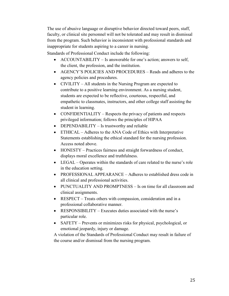The use of abusive language or disruptive behavior directed toward peers, staff, faculty, or clinical site personnel will not be tolerated and may result in dismissal from the program. Such behavior is inconsistent with professional standards and inappropriate for students aspiring to a career in nursing.

Standards of Professional Conduct include the following:

- ACCOUNTABILITY Is answerable for one's action; answers to self, the client, the profession, and the institution.
- AGENCY'S POLICIES AND PROCEDURES Reads and adheres to the agency policies and procedures.
- CIVILITY All students in the Nursing Program are expected to contribute to a positive learning environment. As a nursing student, students are expected to be reflective, courteous, respectful, and empathetic to classmates, instructors, and other college staff assisting the student in learning.
- CONFIDENTIALITY Respects the privacy of patients and respects privileged information; follows the principles of HIPAA
- DEPENDABILITY Is trustworthy and reliable
- ETHICAL Adheres to the ANA Code of Ethics with Interpretative Statements establishing the ethical standard for the nursing profession. Access noted above.
- HONESTY Practices fairness and straight forwardness of conduct, displays moral excellence and truthfulness.
- LEGAL Operates within the standards of care related to the nurse's role in the education setting.
- PROFESSIONAL APPEARANCE Adheres to established dress code in all clinical and professional activities.
- PUNCTUALITY AND PROMPTNESS Is on time for all classroom and clinical assignments.
- RESPECT Treats others with compassion, consideration and in a professional collaborative manner.
- RESPONSIBILITY Executes duties associated with the nurse's particular role.
- SAFETY Prevents or minimizes risks for physical, psychological, or emotional jeopardy, injury or damage.

A violation of the Standards of Professional Conduct may result in failure of the course and/or dismissal from the nursing program.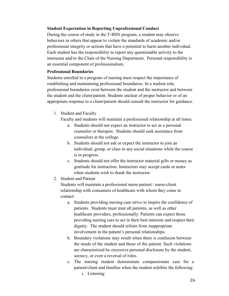# **Student Expectation in Reporting Unprofessional Conduct**

During the course of study in the T-BSN program, a student may observe behaviors in others that appear to violate the standards of academic and/or professional integrity or actions that have a potential to harm another individual. Each student has the responsibility to report any questionable activity to the instructor and/or the Chair of the Nursing Department. Personal responsibility is an essential component of professionalism.

# **Professional Boundaries**

Students enrolled in a program of nursing must respect the importance of establishing and maintaining professional boundaries. In a student role, professional boundaries exist between the student and the instructor and between the student and the client/patient. Students unclear of proper behavior or of an appropriate response to a client/patient should consult the instructor for guidance.

1. Student and Faculty

Faculty and students will maintain a professional relationship at all times:

- a. Students should not expect an instructor to act as a personal counselor or therapist. Students should seek assistance from counselors at the college.
- b. Students should not ask or expect the instructor to join an individual, group, or class in any social situations while the course is in progress.
- c. Students should not offer the instructor material gifts or money as gratitude for instruction. Instructors may accept cards or notes when students wish to thank the instructor.
- 2. Student and Patient

Students will maintain a professional nurse-patient / nurse-client relationship with consumers of healthcare with whom they come in contact:

- a. Students providing nursing care strive to inspire the confidence of patients. Students must treat all patients, as well as other healthcare providers, professionally. Patients can expect those providing nursing care to act in their best interests and respect their dignity. The student should refrain from inappropriate involvement in the patient's personal relationships.
- b. Boundary violations may result when there is confusion between the needs of the student and those of the patient. Such violations are characterized by excessive personal disclosure by the student, secrecy, or even a reversal of roles.
- c. The nursing student demonstrate compassionate care for a patient/client and families when the student exhibits the following:
	- i. Listening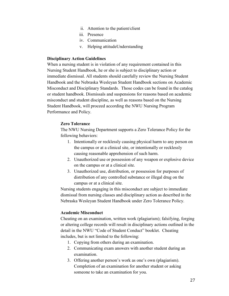- ii. Attention to the patient/client
- iii. Presence
- iv. Communication
- v. Helping attitudeUnderstanding

#### **Disciplinary Action Guidelines**

When a nursing student is in violation of any requirement contained in this Nursing Student Handbook, he or she is subject to disciplinary action or immediate dismissal. All students should carefully review the Nursing Student Handbook and the Nebraska Wesleyan Student Handbook sections on Academic Misconduct and Disciplinary Standards. Those codes can be found in the catalog or student handbook. Dismissals and suspensions for reasons based on academic misconduct and student discipline, as well as reasons based on the Nursing Student Handbook, will proceed according the NWU Nursing Program Performance and Policy.

# **Zero Tolerance**

The NWU Nursing Department supports a Zero Tolerance Policy for the following behaviors:

- 1. Intentionally or recklessly causing physical harm to any person on the campus or at a clinical site, or intentionally or recklessly causing reasonable apprehension of such harm.
- 2. Unauthorized use or possession of any weapon or explosive device on the campus or at a clinical site.
- 3. Unauthorized use, distribution, or possession for purposes of distribution of any controlled substance or illegal drug on the campus or at a clinical site.

Nursing students engaging in this misconduct are subject to immediate dismissal from nursing classes and disciplinary action as described in the Nebraska Wesleyan Student Handbook under Zero Tolerance Policy.

#### **Academic Misconduct**

Cheating on an examination, written work (plagiarism); falsifying, forging or altering college records will result in disciplinary actions outlined in the detail in the NWU "Code of Student Conduct" booklet. Cheating includes, but is not limited to the following:

- 1. Copying from others during an examination.
- 2. Communicating exam answers with another student during an examination.
- 3. Offering another person's work as one's own (plagiarism). Completion of an examination for another student or asking someone to take an examination for you.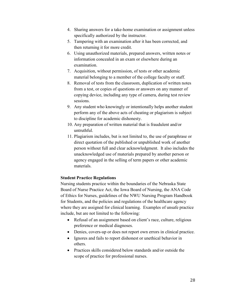- 4. Sharing answers for a take-home examination or assignment unless specifically authorized by the instructor.
- 5. Tampering with an examination after it has been corrected, and then returning it for more credit.
- 6. Using unauthorized materials, prepared answers, written notes or information concealed in an exam or elsewhere during an examination.
- 7. Acquisition, without permission, of tests or other academic material belonging to a member of the college faculty or staff.
- 8. Removal of tests from the classroom, duplication of written notes from a test, or copies of questions or answers on any manner of copying device, including any type of camera, during test review sessions.
- 9. Any student who knowingly or intentionally helps another student perform any of the above acts of cheating or plagiarism is subject to discipline for academic dishonesty.
- 10. Any preparation of written material that is fraudulent and/or untruthful.
- 11. Plagiarism includes, but is not limited to, the use of paraphrase or direct quotation of the published or unpublished work of another person without full and clear acknowledgment. It also includes the unacknowledged use of materials prepared by another person or agency engaged in the selling of term papers or other academic materials.

# **Student Practice Regulations**

Nursing students practice within the boundaries of the Nebraska State Board of Nurse Practice Act, the Iowa Board of Nursing, the ANA Code of Ethics for Nurses, guidelines of the NWU Nursing Program Handbook for Students, and the policies and regulations of the healthcare agency where they are assigned for clinical learning. Examples of unsafe practice include, but are not limited to the following:

- Refusal of an assignment based on client's race, culture, religious preference or medical diagnoses.
- Denies, covers-up or does not report own errors in clinical practice.
- Ignores and fails to report dishonest or unethical behavior in others.
- Practices skills considered below standards and/or outside the scope of practice for professional nurses.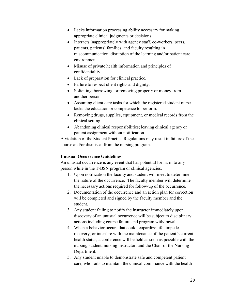- Lacks information processing ability necessary for making appropriate clinical judgments or decisions.
- Interacts inappropriately with agency staff, co-workers, peers, patients, patients' families, and faculty resulting in miscommunication, disruption of the learning and/or patient care environment.
- Misuse of private health information and principles of confidentiality.
- Lack of preparation for clinical practice.
- Failure to respect client rights and dignity.
- Soliciting, borrowing, or removing property or money from another person.
- Assuming client care tasks for which the registered student nurse lacks the education or competence to perform.
- Removing drugs, supplies, equipment, or medical records from the clinical setting.
- Abandoning clinical responsibilities; leaving clinical agency or patient assignment without notification.

A violation of the Student Practice Regulations may result in failure of the course and/or dismissal from the nursing program.

# **Unusual Occurrence Guidelines**

An unusual occurrence is any event that has potential for harm to any person while in the T-BSN program or clinical agencies.

- 1. Upon notification the faculty and student will meet to determine the nature of the occurrence. The faculty member will determine the necessary actions required for follow-up of the occurrence.
- 2. Documentation of the occurrence and an action plan for correction will be completed and signed by the faculty member and the student.
- 3. Any student failing to notify the instructor immediately upon discovery of an unusual occurrence will be subject to disciplinary actions including course failure and program withdrawal.
- 4. When a behavior occurs that could jeopardize life, impede recovery, or interfere with the maintenance of the patient's current health status, a conference will be held as soon as possible with the nursing student, nursing instructor, and the Chair of the Nursing Department.
- 5. Any student unable to demonstrate safe and competent patient care, who fails to maintain the clinical compliance with the health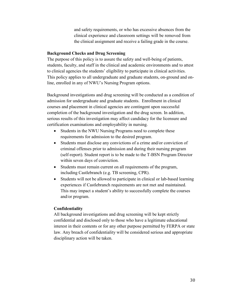and safety requirements, or who has excessive absences from the clinical experience and classroom settings will be removed from the clinical assignment and receive a failing grade in the course.

#### **Background Checks and Drug Screening**

The purpose of this policy is to assure the safety and well-being of patients, students, faculty, and staff in the clinical and academic environments and to attest to clinical agencies the students' eligibility to participate in clinical activities. This policy applies to all undergraduate and graduate students, on-ground and online, enrolled in any of NWU's Nursing Program options.

Background investigations and drug screening will be conducted as a condition of admission for undergraduate and graduate students. Enrollment in clinical courses and placement in clinical agencies are contingent upon successful completion of the background investigation and the drug screen. In addition, serious results of this investigation may affect candidacy for the licensure and certification examinations and employability in nursing.

- Students in the NWU Nursing Programs need to complete these requirements for admission to the desired program.
- Students must disclose any convictions of a crime and/or conviction of criminal offenses prior to admission and during their nursing program (self-report). Student report is to be made to the T-BSN Program Director within seven days of conviction.
- Students must remain current on all requirements of the program, including Castlebranch (e.g. TB screening, CPR).
- Students will not be allowed to participate in clinical or lab-based learning experiences if Castlebranch requirements are not met and maintained. This may impact a student's ability to successfully complete the courses and/or program.

# **Confidentiality**

All background investigations and drug screening will be kept strictly confidential and disclosed only to those who have a legitimate educational interest in their contents or for any other purpose permitted by FERPA or state law. Any breach of confidentiality will be considered serious and appropriate disciplinary action will be taken.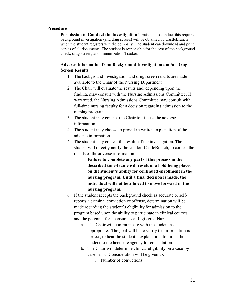#### **Procedure**

**Permission to Conduct the Investigation**Permission to conduct this required background investigation (and drug screen) will be obtained by CastleBranch when the student registers withthe company. The student can download and print copies of all documents. The student is responsible for the cost of the background check, drug screen, and Immunization Tracker.

# **Adverse Information from Background Investigation and/or Drug Screen Results**

- 1. The background investigation and drug screen results are made available to the Chair of the Nursing Department
- 2. The Chair will evaluate the results and, depending upon the finding, may consult with the Nursing Admissions Committee. If warranted, the Nursing Admissions Committee may consult with full-time nursing faculty for a decision regarding admission to the nursing program.
- 3. The student may contact the Chair to discuss the adverse information.
- 4. The student may choose to provide a written explanation of the adverse information.
- 5. The student may contest the results of the investigation. The student will directly notify the vendor, CastleBranch, to contest the results of the adverse information.

**Failure to complete any part of this process in the described time-frame will result in a hold being placed on the student's ability for continued enrollment in the nursing program. Until a final decision is made, the individual will not be allowed to move forward in the nursing program.**

- 6. If the student accepts the background check as accurate or selfreports a criminal conviction or offense, determination will be made regarding the student's eligibility for admission to the program based upon the ability to participate in clinical courses and the potential for licensure as a Registered Nurse.
	- a. The Chair will communicate with the student as appropriate. The goal will be to verify the information is correct, to hear the student's explanation, to direct the student to the licensure agency for consultation.
	- b. The Chair will determine clinical eligibility on a case-bycase basis. Consideration will be given to:
		- i. Number of convictions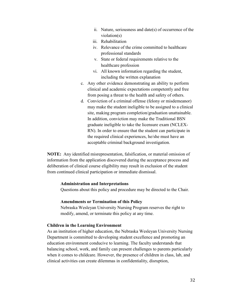- ii. Nature, seriousness and date(s) of occurrence of the violation(s)
- iii. Rehabilitation
- iv. Relevance of the crime committed to healthcare professional standards
- v. State or federal requirements relative to the healthcare profession
- vi. All known information regarding the student, including the written explanation
- c. Any other evidence demonstrating an ability to perform clinical and academic expectations competently and free from posing a threat to the health and safety of others.
- d. Conviction of a criminal offense (felony or misdemeanor) may make the student ineligible to be assigned to a clinical site, making program completion/graduation unattainable. In addition, conviction may make the Traditional BSN graduate ineligible to take the licensure exam (NCLEX-RN). In order to ensure that the student can participate in the required clinical experiences, he/she must have an acceptable criminal background investigation.

**NOTE:** Any identified misrepresentation, falsification, or material omission of information from the application discovered during the acceptance process and deliberation of clinical course eligibility may result in exclusion of the student from continued clinical participation or immediate dismissal.

# **Administration and Interpretations**

Questions about this policy and procedure may be directed to the Chair.

#### **Amendments or Termination of this Policy**

Nebraska Wesleyan University Nursing Program reserves the right to modify, amend, or terminate this policy at any time.

# **Children in the Learning Environment**

As an institution of higher education, the Nebraska Wesleyan University Nursing Department is committed to developing student excellence and promoting an education environment conducive to learning. The faculty understands that balancing school, work, and family can present challenges to parents particularly when it comes to childcare. However, the presence of children in class, lab, and clinical activities can create dilemmas in confidentiality, disruption,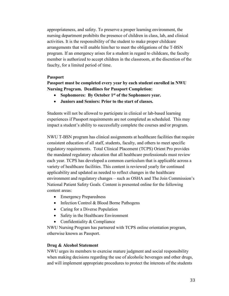appropriateness, and safety. To preserve a proper learning environment, the nursing department prohibits the presence of children in class, lab, and clinical activities. It is the responsibility of the student to make proper childcare arrangements that will enable him/her to meet the obligations of the T-BSN program. If an emergency arises for a student in regard to childcare, the faculty member is authorized to accept children in the classroom, at the discretion of the fauclty, for a limited period of time.

#### **Passport**

**Passport must be completed every year by each student enrolled in NWU Nursing Program. Deadlines for Passport Completion:**

- **Sophomores: By October 1st of the Sophomore year.**
- **Juniors and Seniors: Prior to the start of classes.**

Students will not be allowed to participate in clinical or lab-based learning experiences if Passport requirements are not completed as scheduled. This may impact a student's ability to successfully complete the courses and/or program.

NWU T-BSN program has clinical assignments at healthcare facilities that require consistent education of all staff, students, faculty, and others to meet specific regulatory requirements. Total Clinical Placement (TCPS) Orient Pro provides the mandated regulatory education that all healthcare professionals must review each year. TCPS has developed a common curriculum that is applicable across a variety of healthcare facilities. This content is reviewed yearly for continued applicability and updated as needed to reflect changes in the healthcare environment and regulatory changes – such as OSHA and The Join Commission's National Patient Safety Goals. Content is presented online for the following content areas:

- Emergency Preparedness
- Infection Control & Blood Borne Pathogens
- Caring for a Diverse Population
- Safety in the Healthcare Environment
- Confidentiality & Compliance

NWU Nursing Program has partnered with TCPS online orientation program, otherwise known as Passport.

#### **Drug & Alcohol Statement**

NWU urges its members to exercise mature judgment and social responsibility when making decisions regarding the use of alcoholic beverages and other drugs, and will implement appropriate procedures to protect the interests of the students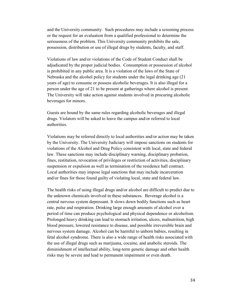and the University community. Such procedures may include a screening process or the request for an evaluation from a qualified professional to determine the seriousness of the problem. This University community prohibits the sale, possession, distribution or use of illegal drugs by students, faculty, and staff.

Violations of law and/or violations of the Code of Student Conduct shall be adjudicated by the proper judicial bodies. Consumption or possession of alcohol is prohibited in any public area. It is a violation of the laws of the State of Nebraska and the alcohol policy for students under the legal drinking age (21 years of age) to consume or possess alcoholic beverages. It is also illegal for a person under the age of 21 to be present at gatherings where alcohol is present. The University will take action against students involved in procuring alcoholic beverages for minors.

Guests are bound by the same rules regarding alcoholic beverages and illegal drugs. Violators will be asked to leave the campus and/or referred to local authorities.

Violations may be referred directly to local authorities and/or action may be taken by the University. The University Judiciary will impose sanctions on students for violations of the Alcohol and Drug Policy consistent with local, state and federal law. These sanctions may include disciplinary warning, disciplinary probation, fines, restitution, revocation of privileges or restriction of activities, disciplinary suspension or expulsion as well as termination of the residence hall contract. Local authorities may impose legal sanctions that may include incarceration and/or fines for those found guilty of violating local, state and federal law.

The health risks of using illegal drugs and/or alcohol are difficult to predict due to the unknown chemicals involved in these substances. Beverage alcohol is a central nervous system depressant. It slows down bodily functions such as heart rate, pulse and respiration. Drinking large enough amounts of alcohol over a period of time can produce psychological and physical dependence or alcoholism. Prolonged heavy drinking can lead to stomach irritation, ulcers, malnutrition, high blood pressure, lowered resistance to disease, and possible irreversible brain and nervous system damage. Alcohol can be harmful to unborn babies, resulting in fetal alcohol syndrome. There is also a wide range of health risks associated with the use of illegal drugs such as marijuana, cocaine, and anabolic steroids. The diminishment of intellectual ability, long-term genetic damage and other health risks may be severe and lead to permanent impairment or even death.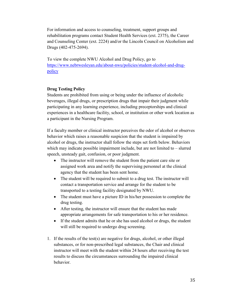For information and access to counseling, treatment, support groups and rehabilitation programs contact Student Health Services (ext. 2375), the Career and Counseling Center (ext. 2224) and/or the Lincoln Council on Alcoholism and Drugs (402-475-2694).

To view the complete NWU Alcohol and Drug Policy, go to [https://www.nebrwesleyan.edu/about-nwu/policies/student-alcohol-and-drug](https://www.nebrwesleyan.edu/about-nwu/policies/student-alcohol-and-drug-policy)[policy](https://www.nebrwesleyan.edu/about-nwu/policies/student-alcohol-and-drug-policy)

# **Drug Testing Policy**

Students are prohibited from using or being under the influence of alcoholic beverages, illegal drugs, or prescription drugs that impair their judgment while participating in any learning experience, including preceptorships and clinical experiences in a healthcare facility, school, or institution or other work location as a participant in the Nursing Program.

If a faculty member or clinical instructor perceives the odor of alcohol or observes behavior which raises a reasonable suspicion that the student is impaired by alcohol or drugs, the instructor shall follow the steps set forth below. Behaviors which may indicate possible impairment include, but are not limited to – slurred speech, unsteady gait, confusion, or poor judgment.

- The instructor will remove the student from the patient care site or assigned work area and notify the supervising personnel at the clinical agency that the student has been sent home.
- The student will be required to submit to a drug test. The instructor will contact a transportation service and arrange for the student to be transported to a testing facility designated by NWU.
- The student must have a picture ID in his/her possession to complete the drug testing.
- After testing, the instructor will ensure that the student has made appropriate arrangements for safe transportation to his or her residence.
- If the student admits that he or she has used alcohol or drugs, the student will still be required to undergo drug screening.
- 1. If the results of the test(s) are negative for drugs, alcohol, or other illegal substances, or for non-prescribed legal substances, the Chair and clinical instructor will meet with the student within 24 hours after receiving the test results to discuss the circumstances surrounding the impaired clinical behavior.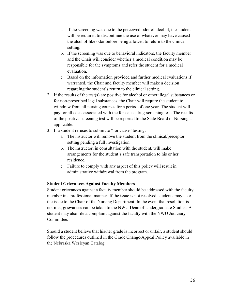- a. If the screening was due to the perceived odor of alcohol, the student will be required to discontinue the use of whatever may have caused the alcohol-like odor before being allowed to return to the clinical setting.
- b. If the screening was due to behavioral indicators, the faculty member and the Chair will consider whether a medical condition may be responsible for the symptoms and refer the student for a medical evaluation.
- c. Based on the information provided and further medical evaluations if warranted, the Chair and faculty member will make a decision regarding the student's return to the clinical setting.
- 2. If the results of the test(s) are positive for alcohol or other illegal substances or for non-prescribed legal substances, the Chair will require the student to withdraw from all nursing courses for a period of one year. The student will pay for all costs associated with the for-cause drug-screening test. The results of the positive screening test will be reported to the State Board of Nursing as applicable.
- 3. If a student refuses to submit to "for cause" testing:
	- a. The instructor will remove the student from the clinical/preceptor setting pending a full investigation.
	- b. The instructor, in consultation with the student, will make arrangements for the student's safe transportation to his or her residence.
	- c. Failure to comply with any aspect of this policy will result in administrative withdrawal from the program.

# **Student Grievances Against Faculty Members**

Student grievances against a faculty member should be addressed with the faculty member in a professional manner. If the issue is not resolved, students may take the issue to the Chair of the Nursing Department. In the event that resolution is not met, grievances can be taken to the NWU Dean of Undergraduate Studies. A student may also file a complaint against the faculty with the NWU Judiciary Committee.

Should a student believe that his/her grade is incorrect or unfair, a student should follow the procedures outlined in the Grade Change/Appeal Policy available in the Nebraska Wesleyan Catalog.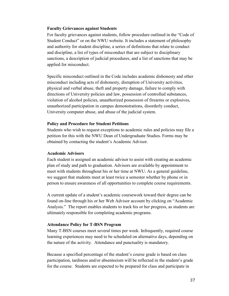#### **Faculty Grievances against Students**

For faculty grievances against students, follow procedure outlined in the "Code of Student Conduct" or on the NWU website. It includes a statement of philosophy and authority for student discipline, a series of definitions that relate to conduct and discipline, a list of types of misconduct that are subject to disciplinary sanctions, a description of judicial procedures, and a list of sanctions that may be applied for misconduct.

Specific misconduct outlined in the Code includes academic dishonesty and other misconduct including acts of dishonesty, disruption of University activities, physical and verbal abuse, theft and property damage, failure to comply with directions of University policies and law, possession of controlled substances, violation of alcohol policies, unauthorized possession of firearms or explosives, unauthorized participation in campus demonstrations, disorderly conduct, University computer abuse, and abuse of the judicial system.

#### **Policy and Procedure for Student Petitions**

Students who wish to request exceptions to academic rules and policies may file a petition for this with the NWU Dean of Undergraduate Studies. Forms may be obtained by contacting the student's Academic Advisor.

# **Academic Advisors**

Each student is assigned an academic advisor to assist with creating an academic plan of study and path to graduation. Advisors are available by appointment to meet with students throughout his or her time at NWU. As a general guideline, we suggest that students meet at least twice a semester whether by phone or in person to ensure awareness of all opportunities to complete course requirements.

A current update of a student's academic coursework toward their degree can be found on-line through his or her Web Advisor account by clicking on "Academic Analysis." The report enables students to track his or her progress, as students are ultimately responsible for completing academic programs.

# **Attendance Policy for T-BSN Program**

Many T-BSN courses meet several times per week. Infrequently, required course learning experiences may need to be scheduled on alternative days, depending on the nature of the activity. Attendance and punctuality is mandatory.

Because a specified percentage of the student's course grade is based on class participation, tardiness and/or absenteeism will be reflected in the student's grade for the course. Students are expected to be prepared for class and participate in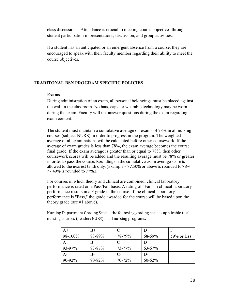class discussions. Attendance is crucial to meeting course objectives through student participation in presentations, discussion, and group activities.

If a student has an anticipated or an emergent absence from a course, they are encouraged to speak with their faculty member regarding their ability to meet the course objectives.

## **TRADITONAL BSN PROGRAM SPECIFIC POLICIES**

#### **Exams**

During administration of an exam, all personal belongings must be placed against the wall in the classroom. No hats, caps, or wearable technology may be worn during the exam. Faculty will not answer questions during the exam regarding exam content.

The student must maintain a cumulative average on exams of 78% in all nursing courses (subject NURS) in order to progress in the program. The weighted average of all examinations will be calculated before other coursework. If the average of exam grades is less than 78%, the exam average becomes the course final grade. If the exam average is greater than or equal to 78%, then other coursework scores will be added and the resulting average must be 78% or greater in order to pass the course. Rounding on the cumulative exam average score is allowed to the nearest tenth only. (Example – 77.50% or above is rounded to 78%. 77.49% is rounded to 77%.).

For courses in which theory and clinical are combined, clinical laboratory performance is rated on a Pass/Fail basis. A rating of "Fail" in clinical laboratory performance results in a F grade in the course. If the clinical laboratory performance is "Pass," the grade awarded for the course will be based upon the theory grade (see #1 above).

Nursing Department Grading Scale – the following grading scale is applicable to all nursing courses (header: NURS) in all nursing programs.

| $A+$    | $B+$   |        | D+           | F              |
|---------|--------|--------|--------------|----------------|
| 98-100% | 88-89% | 78-79% | 68-69%       | $59\%$ or less |
| A       |        | C      |              |                |
| 93-97%  | 83-87% | 73-77% | $63 - 67%$   |                |
| $A -$   | B-     | $C$ -  | $\mathsf{D}$ |                |
| 90-92%  | 80-82% | 70-72% | 60-62%       |                |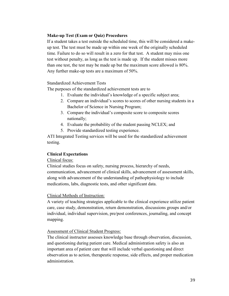# **Make-up Test (Exam or Quiz) Procedures**

If a student takes a test outside the scheduled time, this will be considered a makeup test. The test must be made up within one week of the originally scheduled time. Failure to do so will result in a zero for that test. A student may miss one test without penalty, as long as the test is made up. If the student misses more than one test, the test may be made up but the maximum score allowed is 80%. Any further make-up tests are a maximum of 50%.

# Standardized Achievement Tests

The purposes of the standardized achievement tests are to

- 1. Evaluate the individual's knowledge of a specific subject area;
- 2. Compare an individual's scores to scores of other nursing students in a Bachelor of Science in Nursing Program;
- 3. Compare the individual's composite score to composite scores nationally;
- 4. Evaluate the probability of the student passing NCLEX; and
- 5. Provide standardized testing experience.

ATI Integrated Testing services will be used for the standardized achievement testing.

# **Clinical Expectations**

#### Clinical focus:

Clinical studies focus on safety, nursing process, hierarchy of needs, communication, advancement of clinical skills, advancement of assessment skills, along with advancement of the understanding of pathophysiology to include medications, labs, diagnostic tests, and other significant data.

#### Clinical Methods of Instruction:

A variety of teaching strategies applicable to the clinical experience utilize patient care, case study, demonstration, return demonstration, discussions groups and/or individual, individual supervision, pre/post conferences, journaling, and concept mapping.

#### Assessment of Clinical Student Progress:

The clinical instructor assesses knowledge base through observation, discussion, and questioning during patient care. Medical administration safety is also an important area of patient care that will include verbal questioning and direct observation as to action, therapeutic response, side effects, and proper medication administration.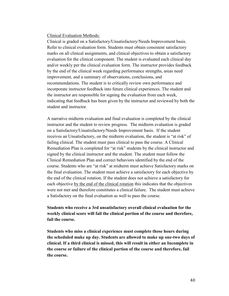#### Clinical Evaluation Methods:

Clinical is graded on a Satisfactory/Unsatisfactory/Needs Improvement basis. Refer to clinical evaluation form. Students must obtain consistent satisfactory marks on all clinical assignments, and clinical objectives to obtain a satisfactory evaluation for the clinical component. The student is evaluated each clinical day and/or weekly per the clinical evaluation form. The instructor provides feedback by the end of the clinical week regarding performance strengths, areas need improvement, and a summary of observations, conclusions, and recommendations. The student is to critically review own performance and incorporate instructor feedback into future clinical experiences. The student and the instructor are responsible for signing the evaluation from each week, indicating that feedback has been given by the instructor and reviewed by both the student and instructor.

A narrative midterm evaluation and final evaluation is completed by the clinical instructor and the student to review progress. The midterm evaluation is graded on a Satisfactory/Unsatisfactory/Needs Improvement basis. If the student receives an Unsatisfactory, on the midterm evaluation, the student is "at risk" of failing clinical. The student must pass clinical to pass the course. A Clinical Remediation Plan is completed for "at risk" students by the clinical instructor and signed by the clinical instructor and the student. The student must follow the Clinical Remediation Plan and correct behaviors identified by the end of the course. Students who are "at risk" at midterm must achieve Satisfactory marks on the final evaluation. The student must achieve a satisfactory for each objective by the end of the clinical rotation. If the student does not achieve a satisfactory for each objective by the end of the clinical rotation this indicates that the objectives were not met and therefore constitutes a clinical failure. The student must achieve a Satisfactory on the final evaluation as well to pass the course.

**Students who receive a 3rd unsatisfactory overall clinical evaluation for the weekly clinical score will fail the clinical portion of the course and therefore, fail the course.**

**Students who miss a clinical experience must complete those hours during the scheduled make up day. Students are allowed to make up one-two days of clinical. If a third clinical is missed, this will result in either an Incomplete in the course or failure of the clinical portion of the course and therefore, fail the course.**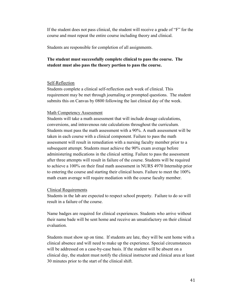If the student does not pass clinical, the student will receive a grade of "F" for the course and must repeat the entire course including theory and clinical.

Students are responsible for completion of all assignments.

# **The student must successfully complete clinical to pass the course. The student must also pass the theory portion to pass the course.**

#### Self-Reflection

Students complete a clinical self-reflection each week of clinical. This requirement may be met through journaling or prompted questions. The student submits this on Canvas by 0800 following the last clinical day of the week.

#### Math Competency Assessment

Students will take a math assessment that will include dosage calculations, conversions, and intravenous rate calculations throughout the curriculum. Students must pass the math assessment with a 90%. A math assessment will be taken in each course with a clinical component. Failure to pass the math assessment will result in remediation with a nursing faculty member prior to a subsequent attempt. Students must achieve the 90% exam average before administering medications in the clinical setting. Failure to pass the assessment after three attempts will result in failure of the course. Students will be required to achieve a 100% on their final math assessment in NURS 4970 Internship prior to entering the course and starting their clinical hours. Failure to meet the 100% math exam average will require mediation with the course faculty member.

#### Clinical Requirements

Students in the lab are expected to respect school property. Failure to do so will result in a failure of the course.

Name badges are required for clinical experiences. Students who arrive without their name bade will be sent home and receive an unsatisfactory on their clinical evaluation.

Students must show up on time. If students are late, they will be sent home with a clinical absence and will need to make up the experience. Special circumstances will be addressed on a case-by-case basis. If the student will be absent on a clinical day, the student must notify the clinical instructor and clinical area at least 30 minutes prior to the start of the clinical shift.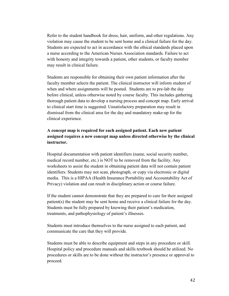Refer to the student handbook for dress, hair, uniform, and other regulations. Any violation may cause the student to be sent home and a clinical failure for the day. Students are expected to act in accordance with the ethical standards placed upon a nurse according to the American Nurses Association standards. Failure to act with honesty and integrity towards a patient, other students, or faculty member may result in clinical failure.

Students are responsible for obtaining their own patient information after the faculty member selects the patient. The clinical instructor will inform student of when and where assignments will be posted. Students are to pre-lab the day before clinical, unless otherwise noted by course faculty. This includes gathering thorough patient data to develop a nursing process and concept map. Early arrival to clinical start time is suggested. Unsatisfactory preparation may result in dismissal from the clinical area for the day and mandatory make-up for the clinical experience.

# **A concept map is required for each assigned patient. Each new patient assigned requires a new concept map unless directed otherwise by the clinical instructor.**

Hospital documentation with patient identifiers (name, social security number, medical record number, etc.) is NOT to be removed from the facility. Any worksheets to assist the student in obtaining patient data will not contain patient identifiers. Students may not scan, photograph, or copy via electronic or digital media. This is a HIPAA (Health Insurance Portability and Accountability Act of Privacy) violation and can result in disciplinary action or course failure.

If the student cannot demonstrate that they are prepared to care for their assigned patient(s) the student may be sent home and receive a clinical failure for the day. Students must be fully prepared by knowing their patient's medication, treatments, and pathophysiology of patient's illnesses.

Students must introduce themselves to the nurse assigned to each patient, and communicate the care that they will provide.

Students must be able to describe equipment and steps in any procedure or skill. Hospital policy and procedure manuals and skills textbook should be utilized. No procedures or skills are to be done without the instructor's presence or approval to proceed.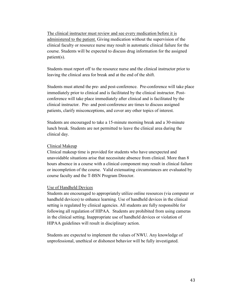The clinical instructor must review and see every medication before it is administered to the patient. Giving medication without the supervision of the clinical faculty or resource nurse may result in automatic clinical failure for the course. Students will be expected to discuss drug information for the assigned patient(s).

Students must report off to the resource nurse and the clinical instructor prior to leaving the clinical area for break and at the end of the shift.

Students must attend the pre- and post-conference. Pre-conference will take place immediately prior to clinical and is facilitated by the clinical instructor. Postconference will take place immediately after clinical and is facilitated by the clinical instructor. Pre- and post-conference are times to discuss assigned patients, clarify misconceptions, and cover any other topics of interest.

Students are encouraged to take a 15-minute morning break and a 30-minute lunch break. Students are not permitted to leave the clinical area during the clinical day.

# Clinical Makeup

Clinical makeup time is provided for students who have unexpected and unavoidable situations arise that necessitate absence from clinical. More than 8 hours absence in a course with a clinical component may result in clinical failure or incompletion of the course. Valid extenuating circumstances are evaluated by course faculty and the T-BSN Program Director.

# Use of Handheld Devices

Students are encouraged to appropriately utilize online resources (via computer or handheld devices) to enhance learning. Use of handheld devices in the clinical setting is regulated by clinical agencies. All students are fully responsible for following all regulation of HIPAA. Students are prohibited from using cameras in the clinical setting. Inappropriate use of handheld devices or violation of HIPAA guidelines will result in disciplinary action.

Students are expected to implement the values of NWU. Any knowledge of unprofessional, unethical or dishonest behavior will be fully investigated.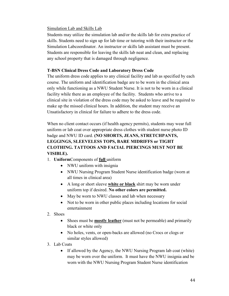# Simulation Lab and Skills Lab

Students may utilize the simulation lab and/or the skills lab for extra practice of skills. Students need to sign up for lab time or tutoring with their instructor or the Simulation Labcoordinator. An instructor or skills lab assistant must be present. Students are responsible for leaving the skills lab neat and clean, and replacing any school property that is damaged through negligence.

# **T-BSN Clinical Dress Code and Laboratory Dress Code**

The uniform dress code applies to any clinical facility and lab as specified by each course. The uniform and identification badge are to be worn in the clinical area only while functioning as a NWU Student Nurse. It is not to be worn in a clinical facility while there as an employee of the facility. Students who arrive to a clinical site in violation of the dress code may be asked to leave and be required to make up the missed clinical hours. In addition, the student may receive an Unsatisfactory in clinical for failure to adhere to the dress code.

When no client contact occurs (if health agency permits), students may wear full uniform or lab coat over appropriate dress clothes with student nurse photo ID badge and NWU ID card. **(NO SHORTS, JEANS, STRETCHPANTS, LEGGINGS, SLEEVELESS TOPS, BARE MIDRIFFS or TIGHT CLOTHING. TATTOOS AND FACIAL PIERCINGS MUST NOT BE VISIBLE).**

- 1. **Uniform**Components of **full** uniform
	- NWU uniform with insignia
	- NWU Nursing Program Student Nurse identification badge (worn at all times in clinical area)
	- A long or short sleeve **white or black** shirt may be worn under uniform top if desired. **No other colors are permitted.**
	- May be worn to NWU classes and lab when necessary
	- Not to be worn in other public places including locations for social entertainment
- 2. Shoes
	- Shoes must be **mostly leather** (must not be permeable) and primarily black or white only
	- No holes, vents, or open-backs are allowed (no Crocs or clogs or similar styles allowed)
- 3. Lab Coats
	- If allowed by the Agency, the NWU Nursing Program lab coat (white) may be worn over the uniform. It must have the NWU insignia and be worn with the NWU Nursing Program Student Nurse identification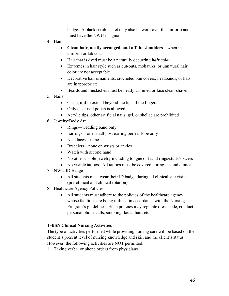badge. A black scrub jacket may also be worn over the uniform and must have the NWU insignia

- 4. Hair
	- **Clean hair, neatly arranged, and off the shoulders** when in uniform or lab coat
	- Hair that is dyed must be a naturally occurring *hair color*
	- Extremes in hair style such as cut-outs, mohawks, or unnatural hair color are not acceptable
	- Decorative hair ornaments, crocheted bun covers, headbands, or hats are inappropriate
	- Beards and mustaches must be neatly trimmed or face clean-shaven
- 5. Nails
	- Clean, **not** to extend beyond the tips of the fingers
	- Only clear nail polish is allowed
	- Acrylic tips, other artificial nails, gel, or shellac are prohibited
- 6. Jewelry/Body Art
	- Rings—wedding band only
	- Earrings—one small post earring per ear lobe only
	- Necklaces—none
	- Bracelets—none on wrists or ankles
	- Watch with second hand
	- No other visible jewelry including tongue or facial rings/studs/spacers
	- No visible tattoos. All tattoos must be covered during lab and clinical.
- 7. NWU ID Badge
	- All students must wear their ID badge during all clinical site visits (pre-clinical and clinical rotation)
- 8. Healthcare Agency Policies
	- All students must adhere to the policies of the healthcare agency whose facilities are being utilized in accordance with the Nursing Program's guidelines. Such policies may regulate dress code, conduct, personal phone calls, smoking, facial hair, etc.

# **T-BSN Clinical Nursing Activities**

The type of activities performed while providing nursing care will be based on the student's present level of nursing knowledge and skill and the client's status. However, the following activities are NOT permitted:

1. Taking verbal or phone orders from physicians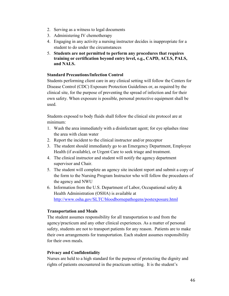- 2. Serving as a witness to legal documents
- 3. Administering IV chemotherapy
- 4. Engaging in any activity a nursing instructor decides is inappropriate for a student to do under the circumstances
- 5. **Students are not permitted to perform any procedures that requires training or certification beyond entry level, e.g., CAPD, ACLS, PALS, and NALS.**

# **Standard Precautions/Infection Control**

Students performing client care in any clinical setting will follow the Centers for Disease Control (CDC) Exposure Protection Guidelines or, as required by the clinical site, for the purpose of preventing the spread of infection and for their own safety. When exposure is possible, personal protective equipment shall be used.

Students exposed to body fluids shall follow the clinical site protocol are at minimum:

- 1. Wash the area immediately with a disinfectant agent; for eye splashes rinse the area with clean water
- 2. Report the incident to the clinical instructor and/or preceptor
- 3. The student should immediately go to an Emergency Department, Employee Health (if available), or Urgent Care to seek triage and treatment.
- 4. The clinical instructor and student will notify the agency department supervisor and Chair.
- 5. The student will complete an agency site incident report and submit a copy of the form to the Nursing Program Instructor who will follow the procedures of the agency and NWU
- 6. Information from the U.S. Department of Labor, Occupational safety  $\&$ Health Administration (OSHA) is available at <http://www.osha.gov/SLTC/bloodbornepathogens/postexposure.html>

# **Transportation and Meals**

The student assumes responsibility for all transportation to and from the agency/practicum and any other clinical experiences. As a matter of personal safety, students are not to transport patients for any reason. Patients are to make their own arrangements for transportation. Each student assumes responsibility for their own meals.

# **Privacy and Confidentiality**

Nurses are held to a high standard for the purpose of protecting the dignity and rights of patients encountered in the practicum setting. It is the student's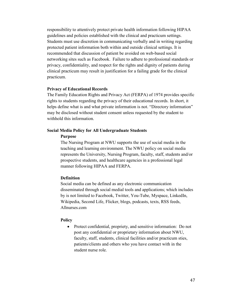responsibility to attentively protect private health information following HIPAA guidelines and policies established with the clinical and practicum settings. Students must use discretion in communicating verbally and in writing regarding protected patient information both within and outside clinical settings. It is recommended that discussion of patient be avoided on web-based social networking sites such as Facebook. Failure to adhere to professional standards or privacy, confidentiality, and respect for the rights and dignity of patients during clinical practicum may result in justification for a failing grade for the clinical practicum.

#### **Privacy of Educational Records**

The Family Education Rights and Privacy Act (FERPA) of 1974 provides specific rights to students regarding the privacy of their educational records. In short, it helps define what is and what private information is not. "Directory information" may be disclosed without student consent unless requested by the student to withhold this information.

#### **Social Media Policy for All Undergraduate Students**

# **Purpose**

The Nursing Program at NWU supports the use of social media in the teaching and learning environment. The NWU policy on social media represents the University, Nursing Program, faculty, staff, students and/or prospective students, and healthcare agencies in a professional legal manner following HIPAA and FERPA.

#### **Definition**

Social media can be defined as any electronic communication disseminated through social medial tools and applications; which includes by is not limited to Facebook, Twitter, You-Tube, Myspace, LinkedIn, Wikipedia, Second Life, Flicker, blogs, podcasts, texts, RSS feeds, Allnurses.com

# **Policy**

• Protect confidential, propriety, and sensitive information: Do not post any confidential or proprietary information about NWU, faculty, staff, students, clinical facilities and/or practicum sties, patients/clients and others who you have contact with in the student nurse role.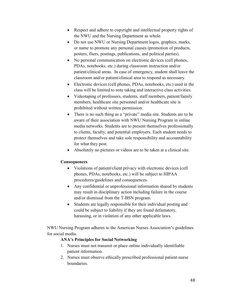- Respect and adhere to copyright and intellectual property rights of the NWU and the Nursing Department as whole.
- Do not use NWU or Nursing Department logos, graphics, marks, or name to promote any personal causes (promotion of products, posters, fliers, postings, publications, and political parties).
- No personal communication on electronic devices (cell phones, PDAs, notebooks, etc.) during classroom instruction and/or patient/clinical areas. In case of emergency, student shall leave the classroom and/or patient/clinical area to respond as necessary.
- Electronic devices (cell phones, PDAs, notebooks, ets.) used in the class will be limited to note taking and interactive class activities.
- Videotaping of professors, students, staff members, patient/family members, healthcare site personnel and/or healthcare site is prohibited without written permission.
- There is no such thing as a "private" media site. Students are to be aware of their association with NWU Nursing Program in online media networks. Students are to present themselves professionally to clients, faculty, and potential employers. Each student needs to protect themselves and take sole responsibility and accountability for what they post.
- Absolutely no pictures or videos are to be taken at a clinical site.

# **Consequences**

- Violations of patient/client privacy with electronic devices (cell phones, PDAs, notebooks, etc.) will be subject to HIPAA procedures/guidelines and consequences.
- Any confidential or unprofessional information shared by students may result in disciplinary action including failure in the course and/or dismissal from the T-BSN program.
- Students are legally responsible for their individual posting and could be subject to liability if they are found defamatory, harassing, or in violation of any other applicable laws.

NWU Nursing Program adheres to the American Nurses Association's guidelines for social media.

# **ANA's Principles for Social Networking**

- 1. Nurses must not transmit or place online individually identifiable patient information.
- 2. Nurses must observe ethically prescribed professional patient-nurse boundaries.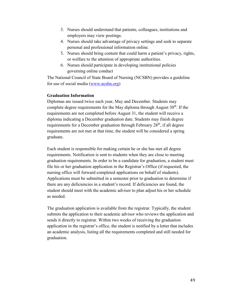- 3. Nurses should understand that patients, colleagues, institutions and employers may view postings.
- 4. Nurses should take advantage of privacy settings and seek to separate personal and professional information online.
- 5. Nurses should bring content that could harm a patient's privacy, rights, or welfare to the attention of appropriate authorities.
- 6. Nurses should participate in developing institutional policies governing online conduct

The National Council of State Board of Nursing (NCSBN) provides a guideline for use of social media [\(www.ncsbn.org\)](http://www.ncsbn.org/)

# **Graduation Information**

Diplomas are issued twice each year, May and December. Students may complete degree requirements for the May diploma through August  $30<sup>th</sup>$ . If the requirements are not completed before August 31, the student will receive a diploma indicating a December graduation date. Students may finish degree requirements for a December graduation through February  $28<sup>th</sup>$ , if all degree requirements are not met at that time, the student will be considered a spring graduate.

Each student is responsible for making certain he or she has met all degree requirements. Notification is sent to students when they are close to meeting graduation requirements. In order to be a candidate for graduation, a student must file his or her graduation application in the Registrar's Office (if requested, the nursing office will forward completed applications on behalf of students). Applications must be submitted in a semester prior to graduation to determine if there are any deficiencies in a student's record. If deficiencies are found, the student should meet with the academic advisor to plan adjust his or her schedule as needed.

The graduation application is available from the registrar. Typically, the student submits the application to their academic advisor who reviews the application and sends it directly to registrar. Within two weeks of receiving the graduation application in the registrar's office, the student is notified by a letter that includes an academic analysis, listing all the requirements completed and still needed for graduation.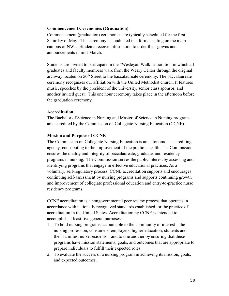# **Commencement Ceremonies (Graduation)**

Commencement (graduation) ceremonies are typically scheduled for the first Saturday of May. The ceremony is conducted in a formal setting on the main campus of NWU. Students receive information to order their gowns and announcements in mid-March.

Students are invited to participate in the "Wesleyan Walk" a tradition in which all graduates and faculty members walk from the Weary Center through the original archway located on  $50<sup>th</sup>$  Street to the baccalaureate ceremony. The baccalaureate ceremony recognizes our affiliation with the United Methodist church. It features music, speeches by the president of the university, senior class sponsor, and another invited guest. This one hour ceremony takes place in the afternoon before the graduation ceremony.

# **Accreditation**

The Bachelor of Science in Nursing and Master of Science in Nursing programs are accredited by the Commission on Collegiate Nursing Education (CCNE).

# **Mission and Purpose of CCNE**

The Commission on Collegiate Nursing Education is an autonomous accrediting agency, contributing to the improvement of the public's health. The Commission ensures the quality and integrity of baccalaureate, graduate, and residency programs in nursing. The Commission serves the public interest by assessing and identifying programs that engage in effective educational practices. As a voluntary, self-regulatory process, CCNE accreditation supports and encourages continuing self-assessment by nursing programs and supports continuing growth and improvement of collegiate professional education and entry-to-practice nurse residency programs.

CCNE accreditation is a nongovernmental peer review process that operates in accordance with nationally recognized standards established for the practice of accreditation in the United States. Accreditation by CCNE is intended to accomplish at least five general purposes:

- 1. To hold nursing programs accountable to the community of interest the nursing profession, consumers, employers, higher education, students and their families, nurse residents – and to one another by ensuring that these programs have mission statements, goals, and outcomes that are appropriate to prepare individuals to fulfill their expected roles.
- 2. To evaluate the success of a nursing program in achieving its mission, goals, and expected outcomes.